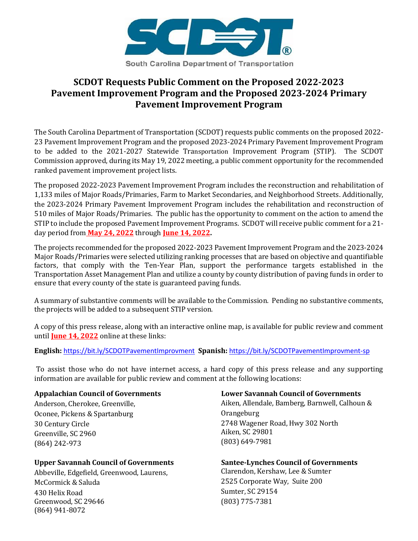

# **SCDOT Requests Public Comment on the Proposed 2022-2023 Pavement Improvement Program and the Proposed 2023-2024 Primary Pavement Improvement Program**

The South Carolina Department of Transportation (SCDOT) requests public comments on the proposed 2022- 23 Pavement Improvement Program and the proposed 2023-2024 Primary Pavement Improvement Program to be added to the 2021-2027 Statewide Transportation Improvement Program (STIP). The SCDOT Commission approved, during its May 19, 2022 meeting, a public comment opportunity for the recommended ranked pavement improvement project lists.

The proposed 2022-2023 Pavement Improvement Program includes the reconstruction and rehabilitation of 1,133 miles of Major Roads/Primaries, Farm to Market Secondaries, and Neighborhood Streets. Additionally, the 2023-2024 Primary Pavement Improvement Program includes the rehabilitation and reconstruction of 510 miles of Major Roads/Primaries. The public has the opportunity to comment on the action to amend the STIP to include the proposed Pavement Improvement Programs. SCDOT will receive public comment for a 21 day period from **May 24, 2022** through **June 14, 2022.**

The projects recommended for the proposed 2022-2023 Pavement Improvement Program and the 2023-2024 Major Roads/Primaries were selected utilizing ranking processes that are based on objective and quantifiable factors, that comply with the Ten-Year Plan, support the performance targets established in the Transportation Asset Management Plan and utilize a county by county distribution of paving funds in order to ensure that every county of the state is guaranteed paving funds.

A summary of substantive comments will be available to the Commission. Pending no substantive comments, the projects will be added to a subsequent STIP version.

A copy of this press release, along with an interactive online map, is available for public review and comment until **June 14, 2022** online at these links:

**English:** <https://bit.ly/SCDOTPavementImprovment>**Spanish:** <https://bit.ly/SCDOTPavementImprovment-sp>

To assist those who do not have internet access, a hard copy of this press release and any supporting information are available for public review and comment at the following locations:

### **Appalachian Council of Governments**

Anderson, Cherokee, Greenville, Oconee, Pickens & Spartanburg 30 Century Circle Greenville, SC 2960 (864) 242-973

### **Upper Savannah Council of Governments**

Abbeville, Edgefield, Greenwood, Laurens, McCormick & Saluda 430 Helix Road Greenwood, SC 29646 (864) 941-8072

#### **Lower Savannah Council of Governments**

Aiken, Allendale, Bamberg, Barnwell, Calhoun & Orangeburg 2748 Wagener Road, Hwy 302 North Aiken, SC 29801 (803) 649-7981

**Santee-Lynches Council of Governments**

Clarendon, Kershaw, Lee & Sumter 2525 Corporate Way, Suite 200 Sumter, SC 29154 (803) 775-7381